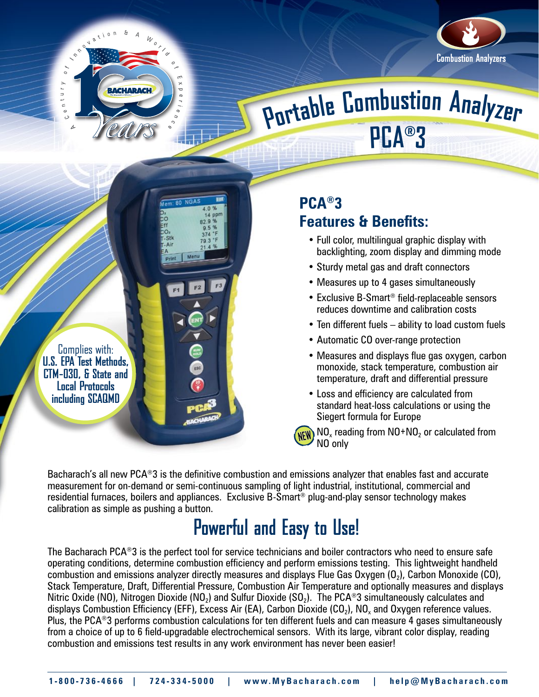

Menu

Complies with: **U.S. EPA Test Methods, CTM-030, & State and Local Protocols including SCAQMD**



# **<sup>P</sup>ortabl<sup>e</sup> <sup>C</sup>o<sup>m</sup>bustio<sup>n</sup> <sup>A</sup><sup>n</sup>alyze<sup>r</sup> PCA®3**

**PCA®3**

#### **Features & Benefits:**

- Full color, multilingual graphic display with backlighting, zoom display and dimming mode
- Sturdy metal gas and draft connectors
- Measures up to 4 gases simultaneously
- Exclusive B-Smart® field-replaceable sensors reduces downtime and calibration costs
- Ten different fuels ability to load custom fuels
- Automatic CO over-range protection
- Measures and displays flue gas oxygen, carbon monoxide, stack temperature, combustion air temperature, draft and differential pressure
- Loss and efficiency are calculated from standard heat-loss calculations or using the Siegert formula for Europe

**NEW** NO<sub>x</sub> reading from NO+NO<sub>2</sub> or calculated from NO only

Bacharach's all new PCA®3 is the definitive combustion and emissions analyzer that enables fast and accurate measurement for on-demand or semi-continuous sampling of light industrial, institutional, commercial and residential furnaces, boilers and appliances. Exclusive B-Smart® plug-and-play sensor technology makes calibration as simple as pushing a button.

#### **Powerful and Easy to Use!**

The Bacharach PCA®3 is the perfect tool for service technicians and boiler contractors who need to ensure safe operating conditions, determine combustion efficiency and perform emissions testing. This lightweight handheld combustion and emissions analyzer directly measures and displays Flue Gas Oxygen  $(0<sub>2</sub>)$ , Carbon Monoxide (CO), Stack Temperature, Draft, Differential Pressure, Combustion Air Temperature and optionally measures and displays Nitric Oxide (NO), Nitrogen Dioxide (NO<sub>2</sub>) and Sulfur Dioxide (SO<sub>2</sub>). The PCA<sup>®</sup>3 simultaneously calculates and displays Combustion Efficiency (EFF), Excess Air (EA), Carbon Dioxide (CO<sub>2</sub>), NO<sub>x</sub> and Oxygen reference values. Plus, the PCA®3 performs combustion calculations for ten different fuels and can measure 4 gases simultaneously from a choice of up to 6 field-upgradable electrochemical sensors. With its large, vibrant color display, reading combustion and emissions test results in any work environment has never been easier!